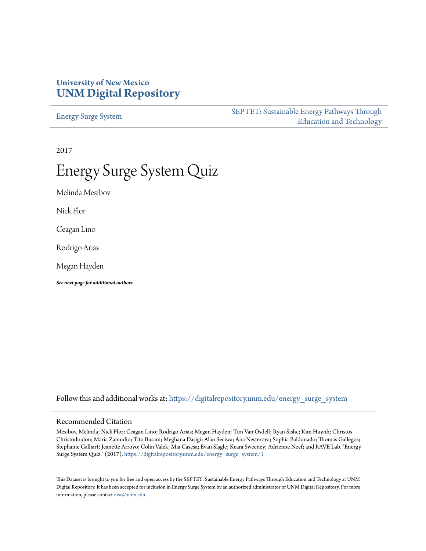### **University of New Mexico [UNM Digital Repository](https://digitalrepository.unm.edu?utm_source=digitalrepository.unm.edu%2Fenergy_surge_system%2F1&utm_medium=PDF&utm_campaign=PDFCoverPages)**

[Energy Surge System](https://digitalrepository.unm.edu/energy_surge_system?utm_source=digitalrepository.unm.edu%2Fenergy_surge_system%2F1&utm_medium=PDF&utm_campaign=PDFCoverPages)

[SEPTET: Sustainable Energy Pathways Through](https://digitalrepository.unm.edu/septet?utm_source=digitalrepository.unm.edu%2Fenergy_surge_system%2F1&utm_medium=PDF&utm_campaign=PDFCoverPages) [Education and Technology](https://digitalrepository.unm.edu/septet?utm_source=digitalrepository.unm.edu%2Fenergy_surge_system%2F1&utm_medium=PDF&utm_campaign=PDFCoverPages)

2017

# Energy Surge System Quiz

Melinda Mesibov

Nick Flor

Ceagan Lino

Rodrigo Arias

Megan Hayden

*See next page for additional authors*

Follow this and additional works at: [https://digitalrepository.unm.edu/energy\\_surge\\_system](https://digitalrepository.unm.edu/energy_surge_system?utm_source=digitalrepository.unm.edu%2Fenergy_surge_system%2F1&utm_medium=PDF&utm_campaign=PDFCoverPages)

#### Recommended Citation

Mesibov, Melinda; Nick Flor; Ceagan Lino; Rodrigo Arias; Megan Hayden; Tim Van Osdell; Ryan Sishc; Kim Huynh; Christos Christodoulou; Maria Zamudio; Tito Busani; Meghana Dasigi; Alan Seciwa; Ana Nesterova; Sophia Baldonado; Thomas Gallegos; Stephanie Galliart; Jeanette Arroyo; Colin Valek; Mia Casesa; Evan Slagle; Keara Sweeney; Adrienne Neef; and RAVE Lab. "Energy Surge System Quiz." (2017). [https://digitalrepository.unm.edu/energy\\_surge\\_system/1](https://digitalrepository.unm.edu/energy_surge_system/1?utm_source=digitalrepository.unm.edu%2Fenergy_surge_system%2F1&utm_medium=PDF&utm_campaign=PDFCoverPages)

This Dataset is brought to you for free and open access by the SEPTET: Sustainable Energy Pathways Through Education and Technology at UNM Digital Repository. It has been accepted for inclusion in Energy Surge System by an authorized administrator of UNM Digital Repository. For more information, please contact [disc@unm.edu.](mailto:disc@unm.edu)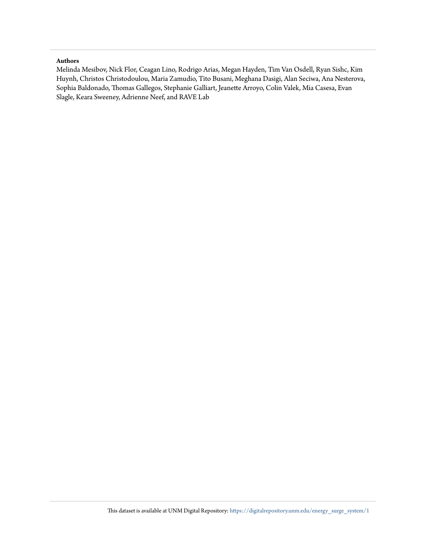#### **Authors**

Melinda Mesibov, Nick Flor, Ceagan Lino, Rodrigo Arias, Megan Hayden, Tim Van Osdell, Ryan Sishc, Kim Huynh, Christos Christodoulou, Maria Zamudio, Tito Busani, Meghana Dasigi, Alan Seciwa, Ana Nesterova, Sophia Baldonado, Thomas Gallegos, Stephanie Galliart, Jeanette Arroyo, Colin Valek, Mia Casesa, Evan Slagle, Keara Sweeney, Adrienne Neef, and RAVE Lab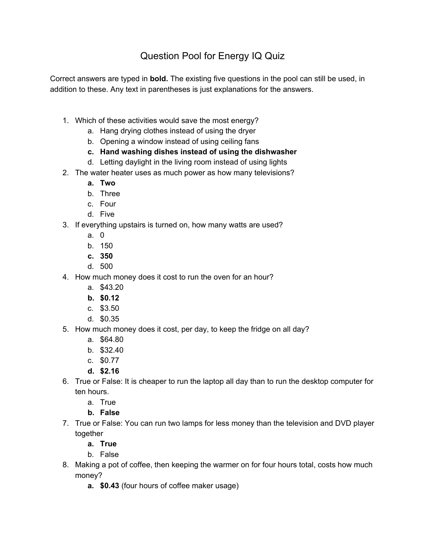## Question Pool for Energy IQ Quiz

Correct answers are typed in **bold.** The existing five questions in the pool can still be used, in addition to these. Any text in parentheses is just explanations for the answers.

- 1. Which of these activities would save the most energy?
	- a. Hang drying clothes instead of using the dryer
	- b. Opening a window instead of using ceiling fans
	- **c. Hand washing dishes instead of using the dishwasher**
	- d. Letting daylight in the living room instead of using lights
- 2. The water heater uses as much power as how many televisions?
	- **a. Two**
	- b. Three
	- c. Four
	- d. Five
- 3. If everything upstairs is turned on, how many watts are used?
	- a. 0
	- b. 150
	- **c. 350**
	- d. 500
- 4. How much money does it cost to run the oven for an hour?
	- a. \$43.20
	- **b. \$0.12**
	- c. \$3.50
	- d. \$0.35
- 5. How much money does it cost, per day, to keep the fridge on all day?
	- a. \$64.80
	- b. \$32.40
	- c. \$0.77
	- **d. \$2.16**
- 6. True or False: It is cheaper to run the laptop all day than to run the desktop computer for ten hours.
	- a. True
	- **b. False**
- 7. True or False: You can run two lamps for less money than the television and DVD player together
	- **a. True**
	- b. False
- 8. Making a pot of coffee, then keeping the warmer on for four hours total, costs how much money?
	- **a. \$0.43** (four hours of coffee maker usage)